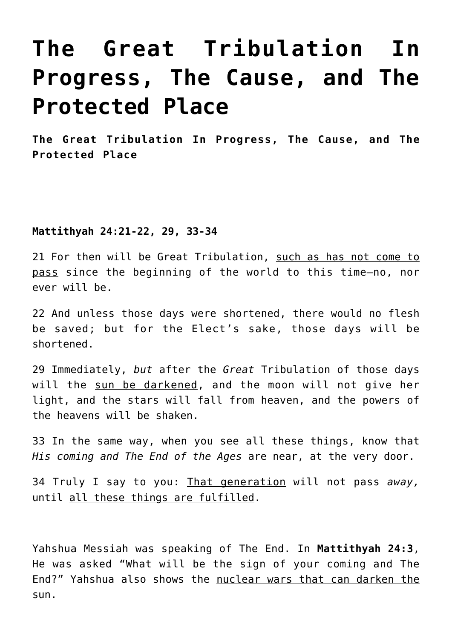# **[The Great Tribulation In](https://yahwehsbranch.com/the-great-tribulation-in-progress-the-cause-and-the-protected-place/) [Progress, The Cause, and The](https://yahwehsbranch.com/the-great-tribulation-in-progress-the-cause-and-the-protected-place/) [Protected Place](https://yahwehsbranch.com/the-great-tribulation-in-progress-the-cause-and-the-protected-place/)**

**The Great Tribulation In Progress, The Cause, and The Protected Place**

## **Mattithyah 24:21-22, 29, 33-34**

21 For then will be Great Tribulation, such as has not come to pass since the beginning of the world to this time—no, nor ever will be.

22 And unless those days were shortened, there would no flesh be saved; but for the Elect's sake, those days will be shortened.

29 Immediately, *but* after the *Great* Tribulation of those days will the sun be darkened, and the moon will not give her light, and the stars will fall from heaven, and the powers of the heavens will be shaken.

33 In the same way, when you see all these things, know that *His coming and The End of the Ages* are near, at the very door.

34 Truly I say to you: That generation will not pass *away,* until all these things are fulfilled.

Yahshua Messiah was speaking of The End. In **Mattithyah 24:3**, He was asked "What will be the sign of your coming and The End?" Yahshua also shows the nuclear wars that can darken the sun.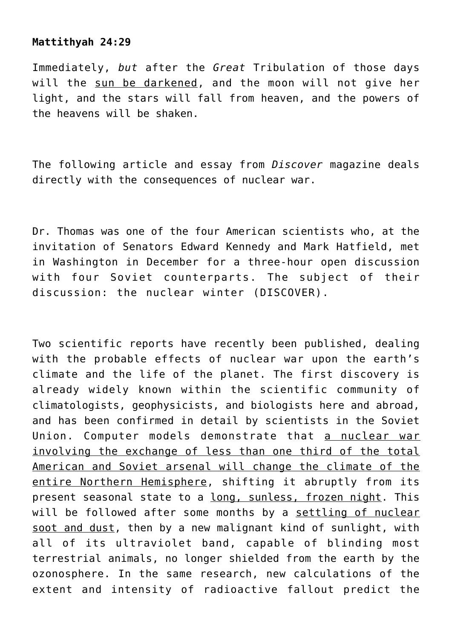## **Mattithyah 24:29**

Immediately, *but* after the *Great* Tribulation of those days will the sun be darkened, and the moon will not give her light, and the stars will fall from heaven, and the powers of the heavens will be shaken.

The following article and essay from *Discover* magazine deals directly with the consequences of nuclear war.

Dr. Thomas was one of the four American scientists who, at the invitation of Senators Edward Kennedy and Mark Hatfield, met in Washington in December for a three-hour open discussion with four Soviet counterparts. The subject of their discussion: the nuclear winter (DISCOVER).

Two scientific reports have recently been published, dealing with the probable effects of nuclear war upon the earth's climate and the life of the planet. The first discovery is already widely known within the scientific community of climatologists, geophysicists, and biologists here and abroad, and has been confirmed in detail by scientists in the Soviet Union. Computer models demonstrate that a nuclear war involving the exchange of less than one third of the total American and Soviet arsenal will change the climate of the entire Northern Hemisphere, shifting it abruptly from its present seasonal state to a long, sunless, frozen night. This will be followed after some months by a settling of nuclear soot and dust, then by a new malignant kind of sunlight, with all of its ultraviolet band, capable of blinding most terrestrial animals, no longer shielded from the earth by the ozonosphere. In the same research, new calculations of the extent and intensity of radioactive fallout predict the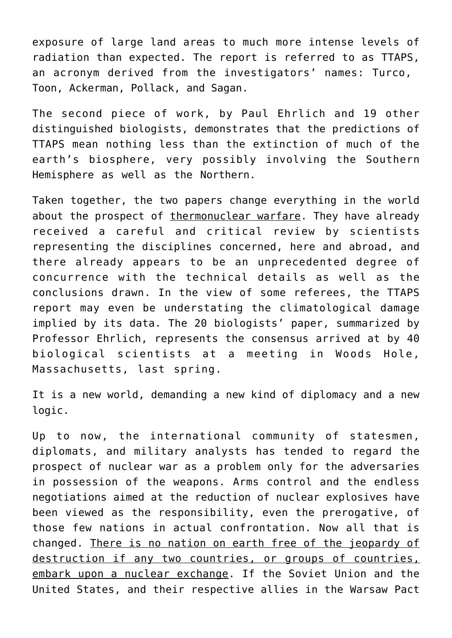exposure of large land areas to much more intense levels of radiation than expected. The report is referred to as TTAPS, an acronym derived from the investigators' names: Turco, Toon, Ackerman, Pollack, and Sagan.

The second piece of work, by Paul Ehrlich and 19 other distinguished biologists, demonstrates that the predictions of TTAPS mean nothing less than the extinction of much of the earth's biosphere, very possibly involving the Southern Hemisphere as well as the Northern.

Taken together, the two papers change everything in the world about the prospect of thermonuclear warfare. They have already received a careful and critical review by scientists representing the disciplines concerned, here and abroad, and there already appears to be an unprecedented degree of concurrence with the technical details as well as the conclusions drawn. In the view of some referees, the TTAPS report may even be understating the climatological damage implied by its data. The 20 biologists' paper, summarized by Professor Ehrlich, represents the consensus arrived at by 40 biological scientists at a meeting in Woods Hole, Massachusetts, last spring.

It is a new world, demanding a new kind of diplomacy and a new logic.

Up to now, the international community of statesmen, diplomats, and military analysts has tended to regard the prospect of nuclear war as a problem only for the adversaries in possession of the weapons. Arms control and the endless negotiations aimed at the reduction of nuclear explosives have been viewed as the responsibility, even the prerogative, of those few nations in actual confrontation. Now all that is changed. There is no nation on earth free of the jeopardy of destruction if any two countries, or groups of countries, embark upon a nuclear exchange. If the Soviet Union and the United States, and their respective allies in the Warsaw Pact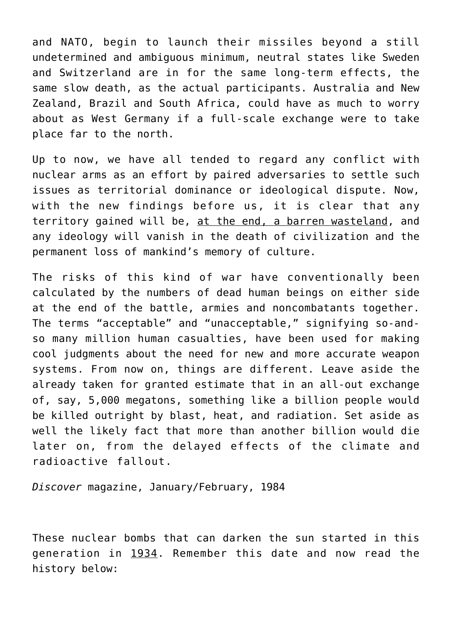and NATO, begin to launch their missiles beyond a still undetermined and ambiguous minimum, neutral states like Sweden and Switzerland are in for the same long-term effects, the same slow death, as the actual participants. Australia and New Zealand, Brazil and South Africa, could have as much to worry about as West Germany if a full-scale exchange were to take place far to the north.

Up to now, we have all tended to regard any conflict with nuclear arms as an effort by paired adversaries to settle such issues as territorial dominance or ideological dispute. Now, with the new findings before us, it is clear that any territory gained will be, at the end, a barren wasteland, and any ideology will vanish in the death of civilization and the permanent loss of mankind's memory of culture.

The risks of this kind of war have conventionally been calculated by the numbers of dead human beings on either side at the end of the battle, armies and noncombatants together. The terms "acceptable" and "unacceptable," signifying so-andso many million human casualties, have been used for making cool judgments about the need for new and more accurate weapon systems. From now on, things are different. Leave aside the already taken for granted estimate that in an all-out exchange of, say, 5,000 megatons, something like a billion people would be killed outright by blast, heat, and radiation. Set aside as well the likely fact that more than another billion would die later on, from the delayed effects of the climate and radioactive fallout.

*Discover* magazine, January/February, 1984

These nuclear bombs that can darken the sun started in this generation in 1934. Remember this date and now read the history below: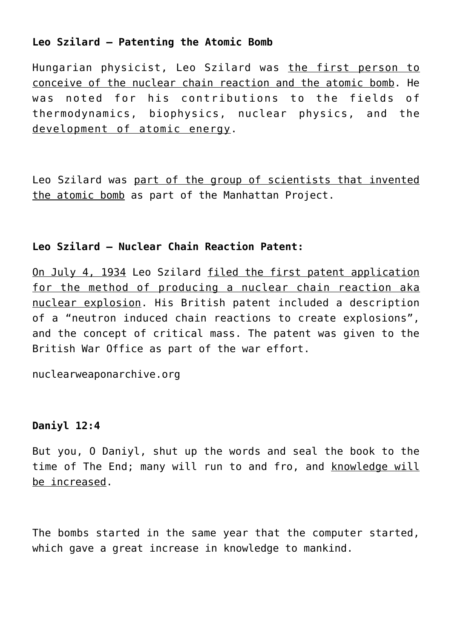## **Leo Szilard – Patenting the Atomic Bomb**

Hungarian physicist, Leo Szilard was the first person to conceive of the nuclear chain reaction and the atomic bomb. He was noted for his contributions to the fields of thermodynamics, biophysics, nuclear physics, and the development of atomic energy.

Leo Szilard was part of the group of scientists that invented the atomic bomb as part of the Manhattan Project.

## **Leo Szilard – Nuclear Chain Reaction Patent:**

On July 4, 1934 Leo Szilard filed the first patent application for the method of producing a nuclear chain reaction aka nuclear explosion. His British patent included a description of a "neutron induced chain reactions to create explosions", and the concept of critical mass. The patent was given to the British War Office as part of the war effort.

nuclearweaponarchive.org

## **Daniyl 12:4**

But you, O Daniyl, shut up the words and seal the book to the time of The End; many will run to and fro, and knowledge will be increased.

The bombs started in the same year that the computer started, which gave a great increase in knowledge to mankind.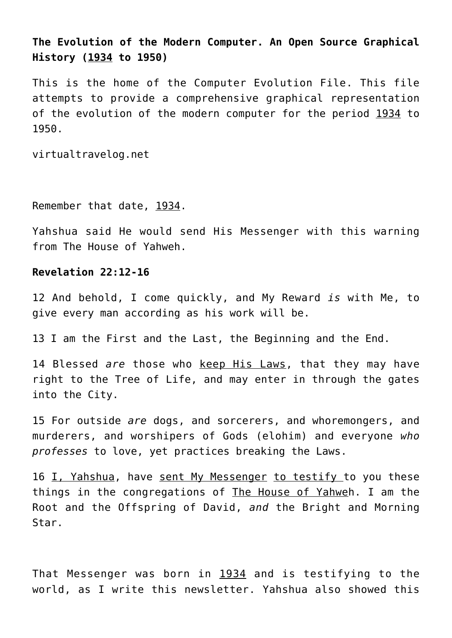## **The Evolution of the Modern Computer. An Open Source Graphical History (1934 to 1950)**

This is the home of the Computer Evolution File. This file attempts to provide a comprehensive graphical representation of the evolution of the modern computer for the period 1934 to 1950.

virtualtravelog.net

Remember that date, 1934.

Yahshua said He would send His Messenger with this warning from The House of Yahweh.

## **Revelation 22:12-16**

12 And behold, I come quickly, and My Reward *is* with Me, to give every man according as his work will be.

13 I am the First and the Last, the Beginning and the End.

14 Blessed *are* those who keep His Laws, that they may have right to the Tree of Life, and may enter in through the gates into the City.

15 For outside *are* dogs, and sorcerers, and whoremongers, and murderers, and worshipers of Gods (elohim) and everyone *who professes* to love, yet practices breaking the Laws.

16 I, Yahshua, have sent My Messenger to testify to you these things in the congregations of The House of Yahweh. I am the Root and the Offspring of David, *and* the Bright and Morning Star.

That Messenger was born in 1934 and is testifying to the world, as I write this newsletter. Yahshua also showed this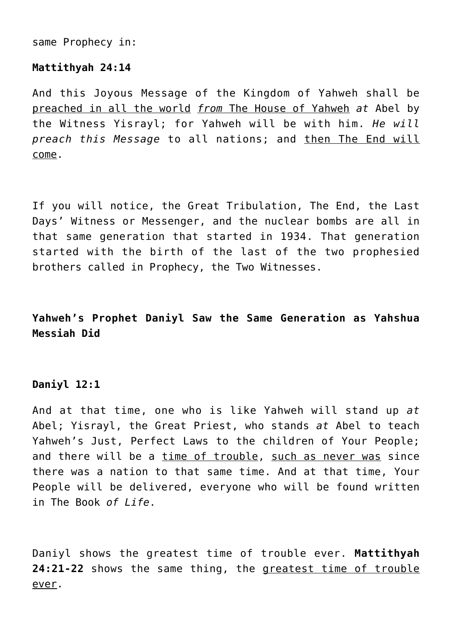same Prophecy in:

#### **Mattithyah 24:14**

And this Joyous Message of the Kingdom of Yahweh shall be preached in all the world *from* The House of Yahweh *at* Abel by the Witness Yisrayl; for Yahweh will be with him. *He will preach this Message* to all nations; and then The End will come.

If you will notice, the Great Tribulation, The End, the Last Days' Witness or Messenger, and the nuclear bombs are all in that same generation that started in 1934. That generation started with the birth of the last of the two prophesied brothers called in Prophecy, the Two Witnesses.

**Yahweh's Prophet Daniyl Saw the Same Generation as Yahshua Messiah Did**

## **Daniyl 12:1**

And at that time, one who is like Yahweh will stand up *at* Abel; Yisrayl, the Great Priest, who stands *at* Abel to teach Yahweh's Just, Perfect Laws to the children of Your People; and there will be a time of trouble, such as never was since there was a nation to that same time. And at that time, Your People will be delivered, everyone who will be found written in The Book *of Life*.

Daniyl shows the greatest time of trouble ever. **Mattithyah 24:21-22** shows the same thing, the greatest time of trouble ever.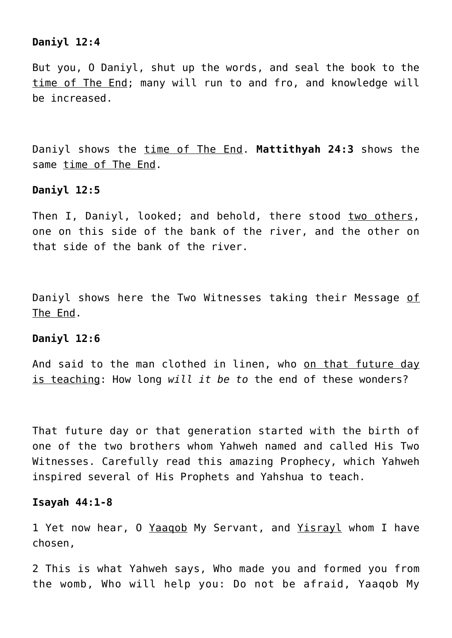#### **Daniyl 12:4**

But you, O Daniyl, shut up the words, and seal the book to the time of The End; many will run to and fro, and knowledge will be increased.

Daniyl shows the time of The End. **Mattithyah 24:3** shows the same time of The End.

#### **Daniyl 12:5**

Then I, Daniyl, looked; and behold, there stood two others, one on this side of the bank of the river, and the other on that side of the bank of the river.

Daniyl shows here the Two Witnesses taking their Message of The End.

## **Daniyl 12:6**

And said to the man clothed in linen, who on that future day is teaching: How long *will it be to* the end of these wonders?

That future day or that generation started with the birth of one of the two brothers whom Yahweh named and called His Two Witnesses. Carefully read this amazing Prophecy, which Yahweh inspired several of His Prophets and Yahshua to teach.

#### **Isayah 44:1-8**

1 Yet now hear, 0 Yaagob My Servant, and Yisrayl whom I have chosen,

2 This is what Yahweh says, Who made you and formed you from the womb, Who will help you: Do not be afraid, Yaaqob My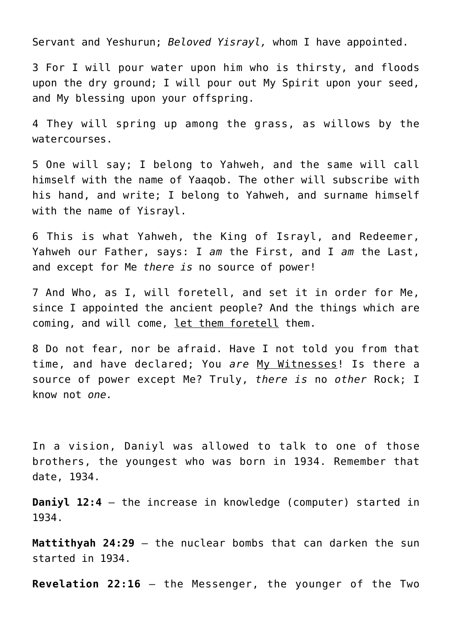Servant and Yeshurun; *Beloved Yisrayl,* whom I have appointed.

3 For I will pour water upon him who is thirsty, and floods upon the dry ground; I will pour out My Spirit upon your seed, and My blessing upon your offspring.

4 They will spring up among the grass, as willows by the watercourses.

5 One will say; I belong to Yahweh, and the same will call himself with the name of Yaaqob. The other will subscribe with his hand, and write; I belong to Yahweh, and surname himself with the name of Yisrayl.

6 This is what Yahweh, the King of Israyl, and Redeemer, Yahweh our Father, says: I *am* the First, and I *am* the Last, and except for Me *there is* no source of power!

7 And Who, as I, will foretell, and set it in order for Me, since I appointed the ancient people? And the things which are coming, and will come, let them foretell them.

8 Do not fear, nor be afraid. Have I not told you from that time, and have declared; You *are* My Witnesses! Is there a source of power except Me? Truly, *there is* no *other* Rock; I know not *one.*

In a vision, Daniyl was allowed to talk to one of those brothers, the youngest who was born in 1934. Remember that date, 1934.

**Daniyl 12:4** – the increase in knowledge (computer) started in 1934.

**Mattithyah 24:29** – the nuclear bombs that can darken the sun started in 1934.

**Revelation 22:16** – the Messenger, the younger of the Two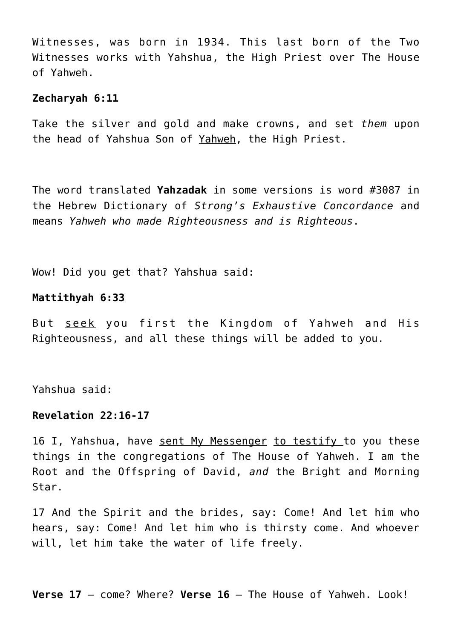Witnesses, was born in 1934. This last born of the Two Witnesses works with Yahshua, the High Priest over The House of Yahweh.

#### **Zecharyah 6:11**

Take the silver and gold and make crowns, and set *them* upon the head of Yahshua Son of Yahweh, the High Priest.

The word translated **Yahzadak** in some versions is word #3087 in the Hebrew Dictionary of *Strong's Exhaustive Concordance* and means *Yahweh who made Righteousness and is Righteous*.

Wow! Did you get that? Yahshua said:

## **Mattithyah 6:33**

But seek you first the Kingdom of Yahweh and His Righteousness, and all these things will be added to you.

Yahshua said:

#### **Revelation 22:16-17**

16 I, Yahshua, have sent My Messenger to testify to you these things in the congregations of The House of Yahweh. I am the Root and the Offspring of David, *and* the Bright and Morning Star.

17 And the Spirit and the brides, say: Come! And let him who hears, say: Come! And let him who is thirsty come. And whoever will, let him take the water of life freely.

**Verse 17** – come? Where? **Verse 16** – The House of Yahweh. Look!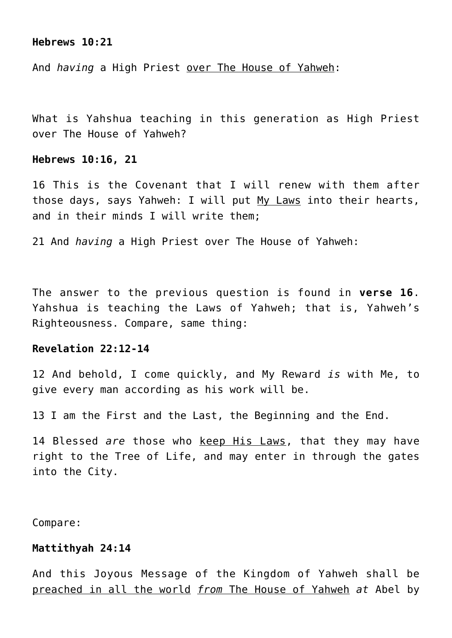#### **Hebrews 10:21**

And *having* a High Priest over The House of Yahweh:

What is Yahshua teaching in this generation as High Priest over The House of Yahweh?

## **Hebrews 10:16, 21**

16 This is the Covenant that I will renew with them after those days, says Yahweh: I will put My Laws into their hearts, and in their minds I will write them;

21 And *having* a High Priest over The House of Yahweh:

The answer to the previous question is found in **verse 16**. Yahshua is teaching the Laws of Yahweh; that is, Yahweh's Righteousness. Compare, same thing:

#### **Revelation 22:12-14**

12 And behold, I come quickly, and My Reward *is* with Me, to give every man according as his work will be.

13 I am the First and the Last, the Beginning and the End.

14 Blessed *are* those who keep His Laws, that they may have right to the Tree of Life, and may enter in through the gates into the City.

Compare:

#### **Mattithyah 24:14**

And this Joyous Message of the Kingdom of Yahweh shall be preached in all the world *from* The House of Yahweh *at* Abel by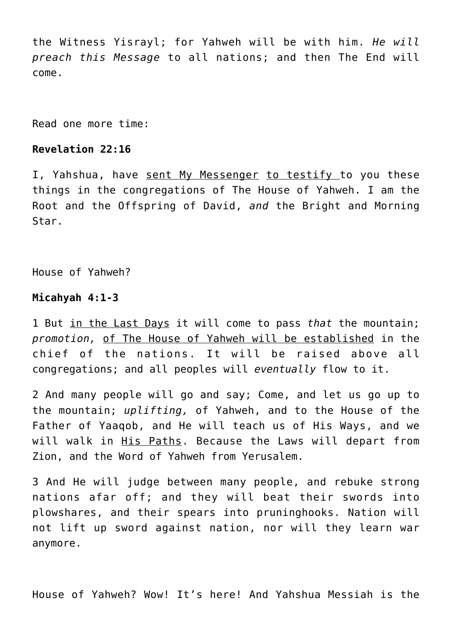the Witness Yisrayl; for Yahweh will be with him. *He will preach this Message* to all nations; and then The End will come.

Read one more time:

#### **Revelation 22:16**

I, Yahshua, have sent My Messenger to testify to you these things in the congregations of The House of Yahweh. I am the Root and the Offspring of David, *and* the Bright and Morning Star.

House of Yahweh?

## **Micahyah 4:1-3**

1 But in the Last Days it will come to pass *that* the mountain; *promotion,* of The House of Yahweh will be established in the chief of the nations. It will be raised above all congregations; and all peoples will *eventually* flow to it.

2 And many people will go and say; Come, and let us go up to the mountain; *uplifting,* of Yahweh, and to the House of the Father of Yaaqob, and He will teach us of His Ways, and we will walk in His Paths. Because the Laws will depart from Zion, and the Word of Yahweh from Yerusalem.

3 And He will judge between many people, and rebuke strong nations afar off; and they will beat their swords into plowshares, and their spears into pruninghooks. Nation will not lift up sword against nation, nor will they learn war anymore.

House of Yahweh? Wow! It's here! And Yahshua Messiah is the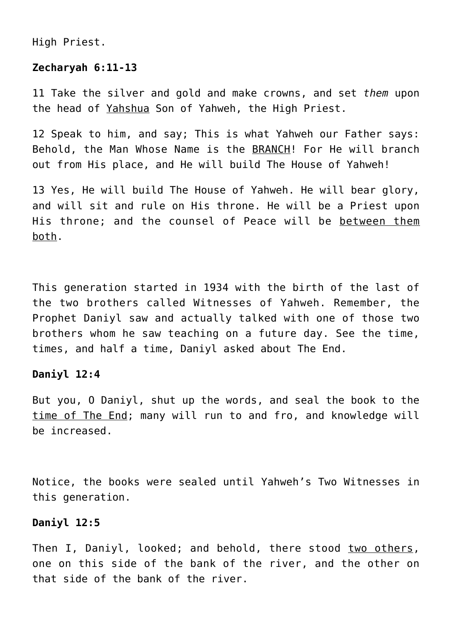High Priest.

## **Zecharyah 6:11-13**

11 Take the silver and gold and make crowns, and set *them* upon the head of Yahshua Son of Yahweh, the High Priest.

12 Speak to him, and say; This is what Yahweh our Father says: Behold, the Man Whose Name is the BRANCH! For He will branch out from His place, and He will build The House of Yahweh!

13 Yes, He will build The House of Yahweh. He will bear glory, and will sit and rule on His throne. He will be a Priest upon His throne; and the counsel of Peace will be between them both.

This generation started in 1934 with the birth of the last of the two brothers called Witnesses of Yahweh. Remember, the Prophet Daniyl saw and actually talked with one of those two brothers whom he saw teaching on a future day. See the time, times, and half a time, Daniyl asked about The End.

## **Daniyl 12:4**

But you, O Daniyl, shut up the words, and seal the book to the time of The End; many will run to and fro, and knowledge will be increased.

Notice, the books were sealed until Yahweh's Two Witnesses in this generation.

## **Daniyl 12:5**

Then I, Daniyl, looked; and behold, there stood two others, one on this side of the bank of the river, and the other on that side of the bank of the river.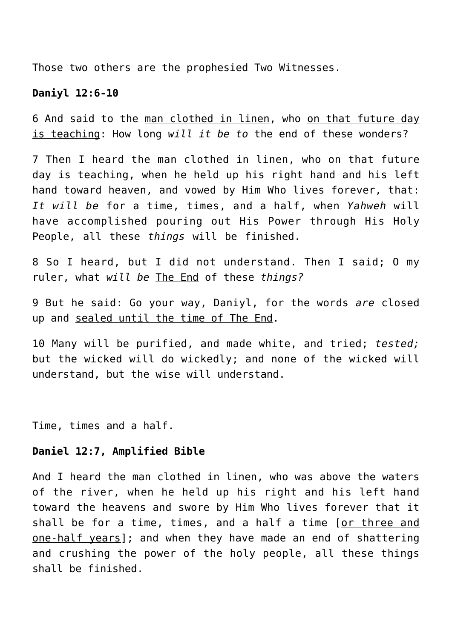Those two others are the prophesied Two Witnesses.

#### **Daniyl 12:6-10**

6 And said to the man clothed in linen, who on that future day is teaching: How long *will it be to* the end of these wonders?

7 Then I heard the man clothed in linen, who on that future day is teaching, when he held up his right hand and his left hand toward heaven, and vowed by Him Who lives forever, that: *It will be* for a time, times, and a half, when *Yahweh* will have accomplished pouring out His Power through His Holy People, all these *things* will be finished.

8 So I heard, but I did not understand. Then I said; O my ruler, what *will be* The End of these *things?*

9 But he said: Go your way, Daniyl, for the words *are* closed up and sealed until the time of The End.

10 Many will be purified, and made white, and tried; *tested;* but the wicked will do wickedly; and none of the wicked will understand, but the wise will understand.

Time, times and a half.

#### **Daniel 12:7, Amplified Bible**

And I heard the man clothed in linen, who was above the waters of the river, when he held up his right and his left hand toward the heavens and swore by Him Who lives forever that it shall be for a time, times, and a half a time [or three and one-half years]; and when they have made an end of shattering and crushing the power of the holy people, all these things shall be finished.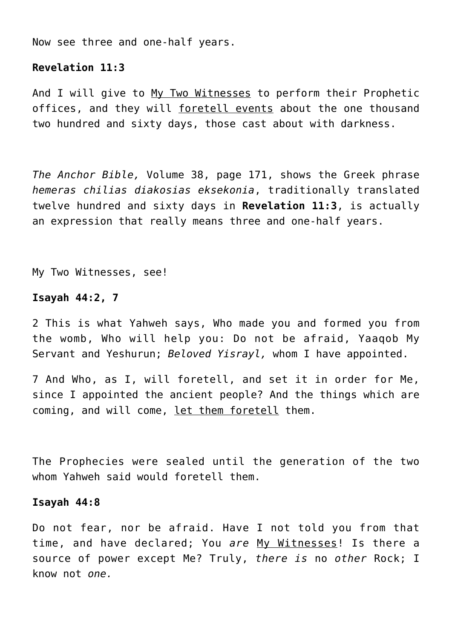Now see three and one-half years.

#### **Revelation 11:3**

And I will give to My Two Witnesses to perform their Prophetic offices, and they will foretell events about the one thousand two hundred and sixty days, those cast about with darkness.

*The Anchor Bible,* Volume 38, page 171, shows the Greek phrase *hemeras chilias diakosias eksekonia*, traditionally translated twelve hundred and sixty days in **Revelation 11:3**, is actually an expression that really means three and one-half years.

My Two Witnesses, see!

## **Isayah 44:2, 7**

2 This is what Yahweh says, Who made you and formed you from the womb, Who will help you: Do not be afraid, Yaaqob My Servant and Yeshurun; *Beloved Yisrayl,* whom I have appointed.

7 And Who, as I, will foretell, and set it in order for Me, since I appointed the ancient people? And the things which are coming, and will come, let them foretell them.

The Prophecies were sealed until the generation of the two whom Yahweh said would foretell them.

#### **Isayah 44:8**

Do not fear, nor be afraid. Have I not told you from that time, and have declared; You *are* My Witnesses! Is there a source of power except Me? Truly, *there is* no *other* Rock; I know not *one.*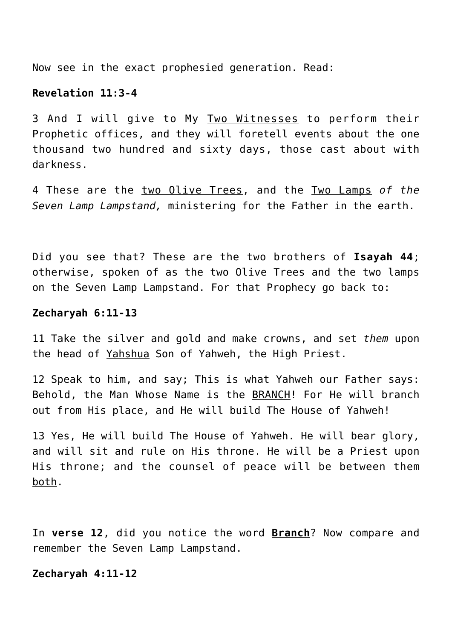Now see in the exact prophesied generation. Read:

#### **Revelation 11:3-4**

3 And I will give to My Two Witnesses to perform their Prophetic offices, and they will foretell events about the one thousand two hundred and sixty days, those cast about with darkness.

4 These are the two Olive Trees, and the Two Lamps *of the Seven Lamp Lampstand,* ministering for the Father in the earth.

Did you see that? These are the two brothers of **Isayah 44**; otherwise, spoken of as the two Olive Trees and the two lamps on the Seven Lamp Lampstand. For that Prophecy go back to:

#### **Zecharyah 6:11-13**

11 Take the silver and gold and make crowns, and set *them* upon the head of Yahshua Son of Yahweh, the High Priest.

12 Speak to him, and say; This is what Yahweh our Father says: Behold, the Man Whose Name is the BRANCH! For He will branch out from His place, and He will build The House of Yahweh!

13 Yes, He will build The House of Yahweh. He will bear glory, and will sit and rule on His throne. He will be a Priest upon His throne; and the counsel of peace will be between them both.

In **verse 12**, did you notice the word **Branch**? Now compare and remember the Seven Lamp Lampstand.

#### **Zecharyah 4:11-12**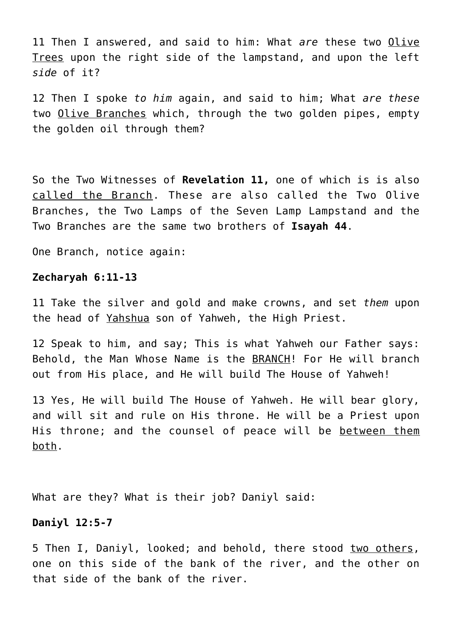11 Then I answered, and said to him: What *are* these two Olive Trees upon the right side of the lampstand, and upon the left *side* of it?

12 Then I spoke *to him* again, and said to him; What *are these* two Olive Branches which, through the two golden pipes, empty the golden oil through them?

So the Two Witnesses of **Revelation 11,** one of which is is also called the Branch. These are also called the Two Olive Branches, the Two Lamps of the Seven Lamp Lampstand and the Two Branches are the same two brothers of **Isayah 44**.

One Branch, notice again:

#### **Zecharyah 6:11-13**

11 Take the silver and gold and make crowns, and set *them* upon the head of Yahshua son of Yahweh, the High Priest.

12 Speak to him, and say; This is what Yahweh our Father says: Behold, the Man Whose Name is the BRANCH! For He will branch out from His place, and He will build The House of Yahweh!

13 Yes, He will build The House of Yahweh. He will bear glory, and will sit and rule on His throne. He will be a Priest upon His throne; and the counsel of peace will be between them both.

What are they? What is their job? Daniyl said:

## **Daniyl 12:5-7**

5 Then I, Daniyl, looked; and behold, there stood two others, one on this side of the bank of the river, and the other on that side of the bank of the river.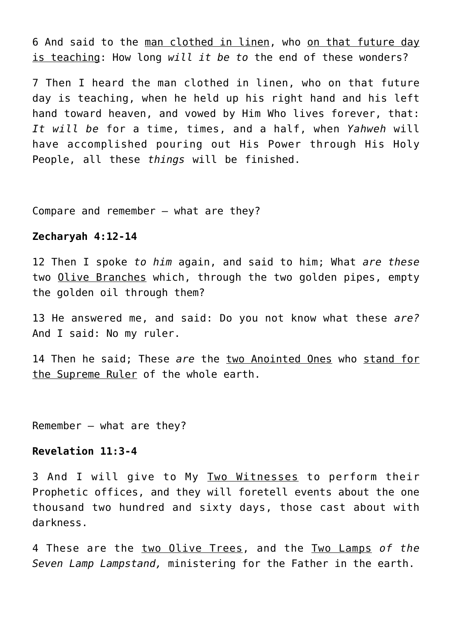6 And said to the man clothed in linen, who on that future day is teaching: How long *will it be to* the end of these wonders?

7 Then I heard the man clothed in linen, who on that future day is teaching, when he held up his right hand and his left hand toward heaven, and vowed by Him Who lives forever, that: *It will be* for a time, times, and a half, when *Yahweh* will have accomplished pouring out His Power through His Holy People, all these *things* will be finished.

Compare and remember – what are they?

#### **Zecharyah 4:12-14**

12 Then I spoke *to him* again, and said to him; What *are these* two Olive Branches which, through the two golden pipes, empty the golden oil through them?

13 He answered me, and said: Do you not know what these *are?* And I said: No my ruler.

14 Then he said; These *are* the two Anointed Ones who stand for the Supreme Ruler of the whole earth.

Remember – what are they?

## **Revelation 11:3-4**

3 And I will give to My Two Witnesses to perform their Prophetic offices, and they will foretell events about the one thousand two hundred and sixty days, those cast about with darkness.

4 These are the two Olive Trees, and the Two Lamps *of the Seven Lamp Lampstand,* ministering for the Father in the earth.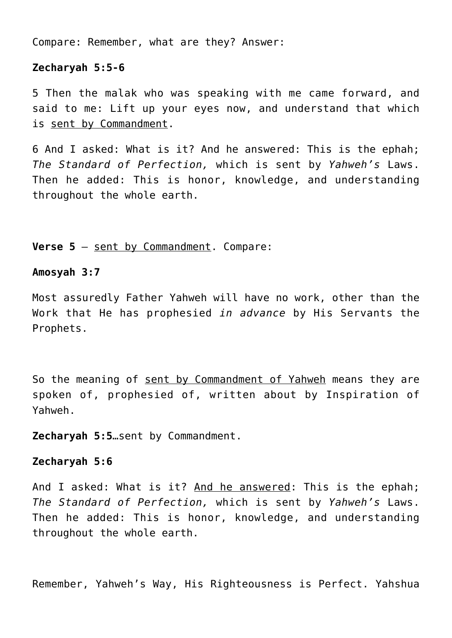Compare: Remember, what are they? Answer:

## **Zecharyah 5:5-6**

5 Then the malak who was speaking with me came forward, and said to me: Lift up your eyes now, and understand that which is sent by Commandment.

6 And I asked: What is it? And he answered: This is the ephah; *The Standard of Perfection,* which is sent by *Yahweh's* Laws. Then he added: This is honor, knowledge, and understanding throughout the whole earth.

**Verse 5** – sent by Commandment. Compare:

#### **Amosyah 3:7**

Most assuredly Father Yahweh will have no work, other than the Work that He has prophesied *in advance* by His Servants the Prophets.

So the meaning of sent by Commandment of Yahweh means they are spoken of, prophesied of, written about by Inspiration of Yahweh.

**Zecharyah 5:5**…sent by Commandment.

#### **Zecharyah 5:6**

And I asked: What is it? And he answered: This is the ephah; *The Standard of Perfection,* which is sent by *Yahweh's* Laws. Then he added: This is honor, knowledge, and understanding throughout the whole earth.

Remember, Yahweh's Way, His Righteousness is Perfect. Yahshua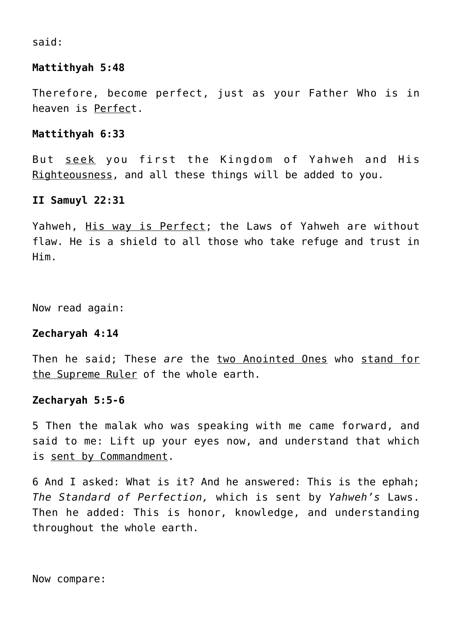said:

## **Mattithyah 5:48**

Therefore, become perfect, just as your Father Who is in heaven is Perfect.

## **Mattithyah 6:33**

But seek you first the Kingdom of Yahweh and His Righteousness, and all these things will be added to you.

#### **II Samuyl 22:31**

Yahweh, His way is Perfect; the Laws of Yahweh are without flaw. He is a shield to all those who take refuge and trust in Him.

Now read again:

## **Zecharyah 4:14**

Then he said; These *are* the two Anointed Ones who stand for the Supreme Ruler of the whole earth.

#### **Zecharyah 5:5-6**

5 Then the malak who was speaking with me came forward, and said to me: Lift up your eyes now, and understand that which is sent by Commandment.

6 And I asked: What is it? And he answered: This is the ephah; *The Standard of Perfection,* which is sent by *Yahweh's* Laws. Then he added: This is honor, knowledge, and understanding throughout the whole earth.

Now compare: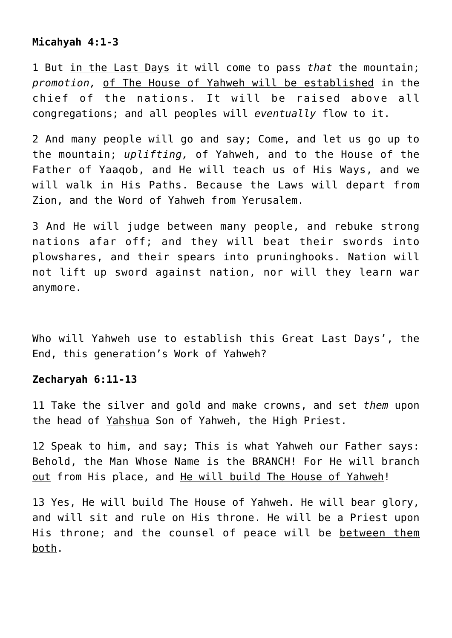## **Micahyah 4:1-3**

1 But in the Last Days it will come to pass *that* the mountain; *promotion,* of The House of Yahweh will be established in the chief of the nations. It will be raised above all congregations; and all peoples will *eventually* flow to it.

2 And many people will go and say; Come, and let us go up to the mountain; *uplifting,* of Yahweh, and to the House of the Father of Yaaqob, and He will teach us of His Ways, and we will walk in His Paths. Because the Laws will depart from Zion, and the Word of Yahweh from Yerusalem.

3 And He will judge between many people, and rebuke strong nations afar off; and they will beat their swords into plowshares, and their spears into pruninghooks. Nation will not lift up sword against nation, nor will they learn war anymore.

Who will Yahweh use to establish this Great Last Days', the End, this generation's Work of Yahweh?

#### **Zecharyah 6:11-13**

11 Take the silver and gold and make crowns, and set *them* upon the head of Yahshua Son of Yahweh, the High Priest.

12 Speak to him, and say; This is what Yahweh our Father says: Behold, the Man Whose Name is the BRANCH! For He will branch out from His place, and He will build The House of Yahweh!

13 Yes, He will build The House of Yahweh. He will bear glory, and will sit and rule on His throne. He will be a Priest upon His throne; and the counsel of peace will be between them both.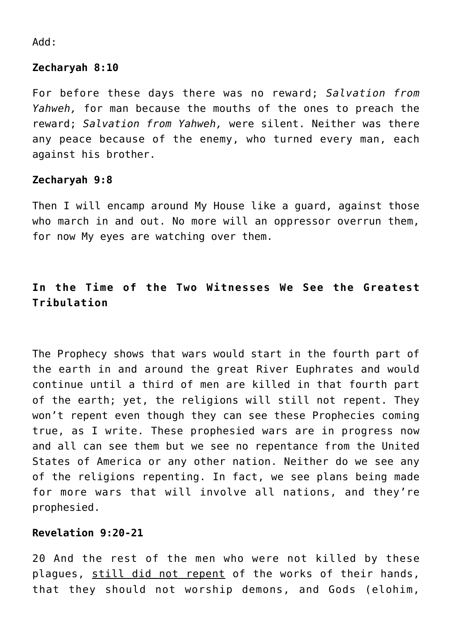Add:

## **Zecharyah 8:10**

For before these days there was no reward; *Salvation from Yahweh,* for man because the mouths of the ones to preach the reward; *Salvation from Yahweh,* were silent. Neither was there any peace because of the enemy, who turned every man, each against his brother.

## **Zecharyah 9:8**

Then I will encamp around My House like a guard, against those who march in and out. No more will an oppressor overrun them, for now My eyes are watching over them.

# **In the Time of the Two Witnesses We See the Greatest Tribulation**

The Prophecy shows that wars would start in the fourth part of the earth in and around the great River Euphrates and would continue until a third of men are killed in that fourth part of the earth; yet, the religions will still not repent. They won't repent even though they can see these Prophecies coming true, as I write. These prophesied wars are in progress now and all can see them but we see no repentance from the United States of America or any other nation. Neither do we see any of the religions repenting. In fact, we see plans being made for more wars that will involve all nations, and they're prophesied.

## **Revelation 9:20-21**

20 And the rest of the men who were not killed by these plagues, still did not repent of the works of their hands, that they should not worship demons, and Gods (elohim,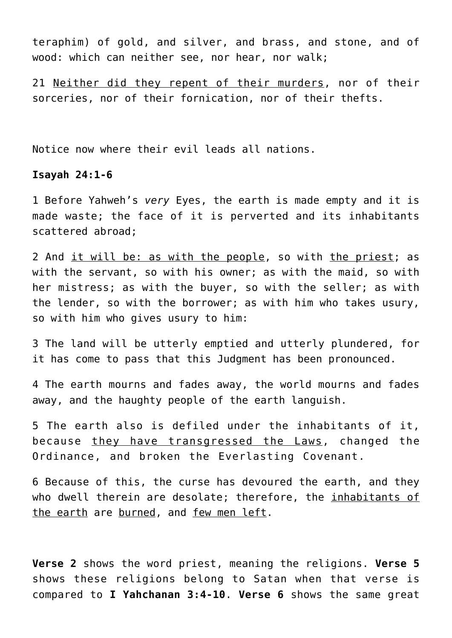teraphim) of gold, and silver, and brass, and stone, and of wood: which can neither see, nor hear, nor walk;

21 Neither did they repent of their murders, nor of their sorceries, nor of their fornication, nor of their thefts.

Notice now where their evil leads all nations.

## **Isayah 24:1-6**

1 Before Yahweh's *very* Eyes, the earth is made empty and it is made waste; the face of it is perverted and its inhabitants scattered abroad;

2 And it will be: as with the people, so with the priest; as with the servant, so with his owner; as with the maid, so with her mistress; as with the buyer, so with the seller; as with the lender, so with the borrower; as with him who takes usury, so with him who gives usury to him:

3 The land will be utterly emptied and utterly plundered, for it has come to pass that this Judgment has been pronounced.

4 The earth mourns and fades away, the world mourns and fades away, and the haughty people of the earth languish.

5 The earth also is defiled under the inhabitants of it, because they have transgressed the Laws, changed the Ordinance, and broken the Everlasting Covenant.

6 Because of this, the curse has devoured the earth, and they who dwell therein are desolate; therefore, the inhabitants of the earth are burned, and few men left.

**Verse 2** shows the word priest, meaning the religions. **Verse 5** shows these religions belong to Satan when that verse is compared to **I Yahchanan 3:4-10**. **Verse 6** shows the same great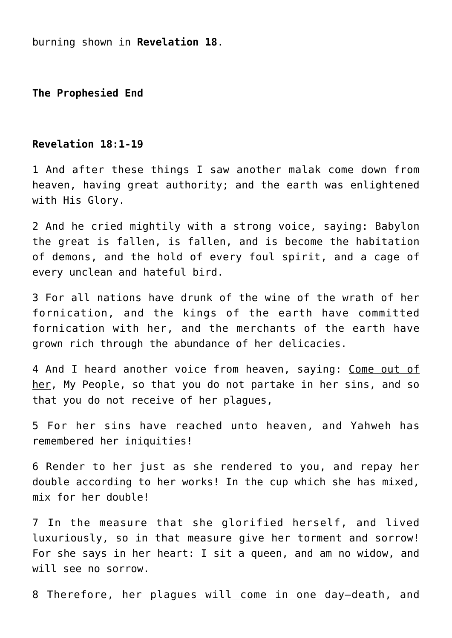burning shown in **Revelation 18**.

**The Prophesied End**

#### **Revelation 18:1-19**

1 And after these things I saw another malak come down from heaven, having great authority; and the earth was enlightened with His Glory.

2 And he cried mightily with a strong voice, saying: Babylon the great is fallen, is fallen, and is become the habitation of demons, and the hold of every foul spirit, and a cage of every unclean and hateful bird.

3 For all nations have drunk of the wine of the wrath of her fornication, and the kings of the earth have committed fornication with her, and the merchants of the earth have grown rich through the abundance of her delicacies.

4 And I heard another voice from heaven, saying: Come out of her, My People, so that you do not partake in her sins, and so that you do not receive of her plagues,

5 For her sins have reached unto heaven, and Yahweh has remembered her iniquities!

6 Render to her just as she rendered to you, and repay her double according to her works! In the cup which she has mixed, mix for her double!

7 In the measure that she glorified herself, and lived luxuriously, so in that measure give her torment and sorrow! For she says in her heart: I sit a queen, and am no widow, and will see no sorrow.

8 Therefore, her plaques will come in one day-death, and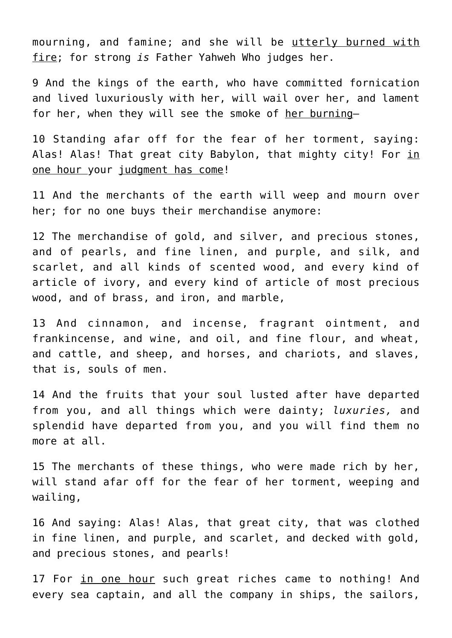mourning, and famine; and she will be utterly burned with fire; for strong *is* Father Yahweh Who judges her.

9 And the kings of the earth, who have committed fornication and lived luxuriously with her, will wail over her, and lament for her, when they will see the smoke of her burning—

10 Standing afar off for the fear of her torment, saying: Alas! Alas! That great city Babylon, that mighty city! For in one hour your judgment has come!

11 And the merchants of the earth will weep and mourn over her; for no one buys their merchandise anymore:

12 The merchandise of gold, and silver, and precious stones, and of pearls, and fine linen, and purple, and silk, and scarlet, and all kinds of scented wood, and every kind of article of ivory, and every kind of article of most precious wood, and of brass, and iron, and marble,

13 And cinnamon, and incense, fragrant ointment, and frankincense, and wine, and oil, and fine flour, and wheat, and cattle, and sheep, and horses, and chariots, and slaves, that is, souls of men.

14 And the fruits that your soul lusted after have departed from you, and all things which were dainty; *luxuries,* and splendid have departed from you, and you will find them no more at all.

15 The merchants of these things, who were made rich by her, will stand afar off for the fear of her torment, weeping and wailing,

16 And saying: Alas! Alas, that great city, that was clothed in fine linen, and purple, and scarlet, and decked with gold, and precious stones, and pearls!

17 For in one hour such great riches came to nothing! And every sea captain, and all the company in ships, the sailors,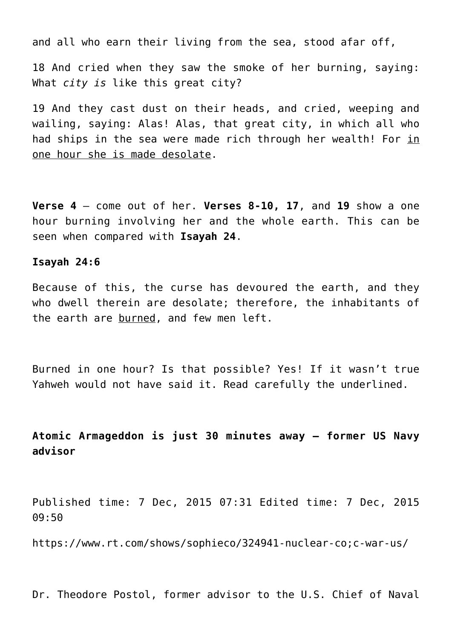and all who earn their living from the sea, stood afar off,

18 And cried when they saw the smoke of her burning, saying: What *city is* like this great city?

19 And they cast dust on their heads, and cried, weeping and wailing, saying: Alas! Alas, that great city, in which all who had ships in the sea were made rich through her wealth! For in one hour she is made desolate.

**Verse 4** – come out of her. **Verses 8-10, 17**, and **19** show a one hour burning involving her and the whole earth. This can be seen when compared with **Isayah 24**.

#### **Isayah 24:6**

Because of this, the curse has devoured the earth, and they who dwell therein are desolate; therefore, the inhabitants of the earth are burned, and few men left.

Burned in one hour? Is that possible? Yes! If it wasn't true Yahweh would not have said it. Read carefully the underlined.

# **Atomic Armageddon is just 30 minutes away – former US Navy advisor**

Published time: 7 Dec, 2015 07:31 Edited time: 7 Dec, 2015 09:50

https://www.rt.com/shows/sophieco/324941-nuclear-co;c-war-us/

Dr. Theodore Postol, former advisor to the U.S. Chief of Naval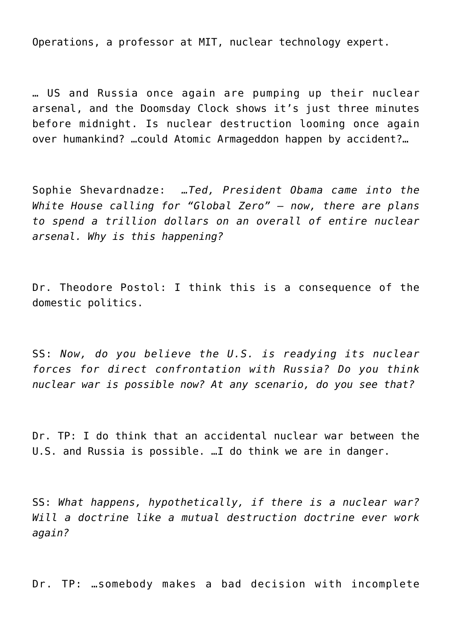Operations, a professor at MIT, nuclear technology expert.

… US and Russia once again are pumping up their nuclear arsenal, and the Doomsday Clock shows it's just three minutes before midnight. Is nuclear destruction looming once again over humankind? …could Atomic Armageddon happen by accident?…

Sophie Shevardnadze: *…Ted, President Obama came into the White House calling for "Global Zero" – now, there are plans to spend a trillion dollars on an overall of entire nuclear arsenal. Why is this happening?*

Dr. Theodore Postol: I think this is a consequence of the domestic politics.

SS: *Now, do you believe the U.S. is readying its nuclear forces for direct confrontation with Russia? Do you think nuclear war is possible now? At any scenario, do you see that?*

Dr. TP: I do think that an accidental nuclear war between the U.S. and Russia is possible. …I do think we are in danger.

SS: *What happens, hypothetically, if there is a nuclear war? Will a doctrine like a mutual destruction doctrine ever work again?*

Dr. TP: …somebody makes a bad decision with incomplete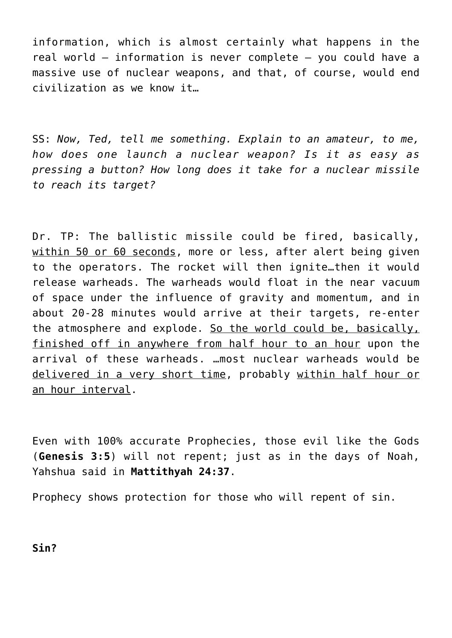information, which is almost certainly what happens in the real world – information is never complete – you could have a massive use of nuclear weapons, and that, of course, would end civilization as we know it…

SS: *Now, Ted, tell me something. Explain to an amateur, to me, how does one launch a nuclear weapon? Is it as easy as pressing a button? How long does it take for a nuclear missile to reach its target?*

Dr. TP: The ballistic missile could be fired, basically, within 50 or 60 seconds, more or less, after alert being given to the operators. The rocket will then ignite…then it would release warheads. The warheads would float in the near vacuum of space under the influence of gravity and momentum, and in about 20-28 minutes would arrive at their targets, re-enter the atmosphere and explode. So the world could be, basically, finished off in anywhere from half hour to an hour upon the arrival of these warheads. …most nuclear warheads would be delivered in a very short time, probably within half hour or an hour interval.

Even with 100% accurate Prophecies, those evil like the Gods (**Genesis 3:5**) will not repent; just as in the days of Noah, Yahshua said in **Mattithyah 24:37**.

Prophecy shows protection for those who will repent of sin.

**Sin?**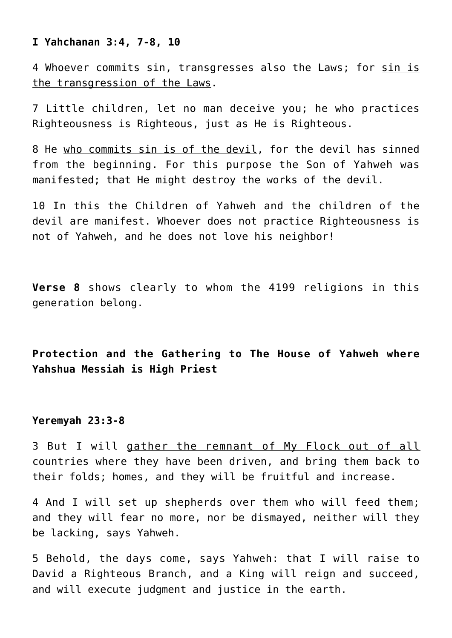## **I Yahchanan 3:4, 7-8, 10**

4 Whoever commits sin, transgresses also the Laws; for sin is the transgression of the Laws.

7 Little children, let no man deceive you; he who practices Righteousness is Righteous, just as He is Righteous.

8 He who commits sin is of the devil, for the devil has sinned from the beginning. For this purpose the Son of Yahweh was manifested; that He might destroy the works of the devil.

10 In this the Children of Yahweh and the children of the devil are manifest. Whoever does not practice Righteousness is not of Yahweh, and he does not love his neighbor!

**Verse 8** shows clearly to whom the 4199 religions in this generation belong.

**Protection and the Gathering to The House of Yahweh where Yahshua Messiah is High Priest**

## **Yeremyah 23:3-8**

3 But I will gather the remnant of My Flock out of all countries where they have been driven, and bring them back to their folds; homes, and they will be fruitful and increase.

4 And I will set up shepherds over them who will feed them; and they will fear no more, nor be dismayed, neither will they be lacking, says Yahweh.

5 Behold, the days come, says Yahweh: that I will raise to David a Righteous Branch, and a King will reign and succeed, and will execute judgment and justice in the earth.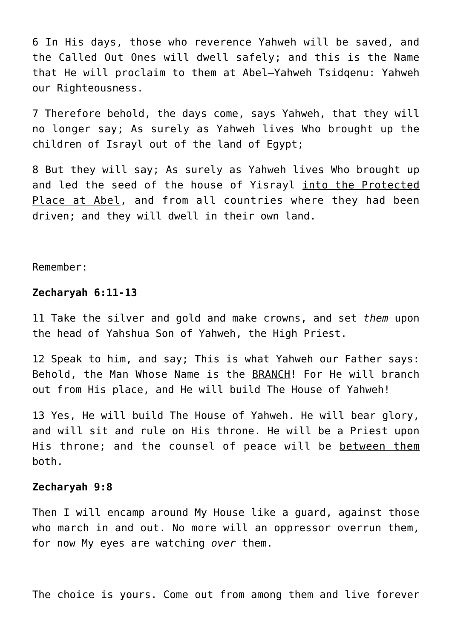6 In His days, those who reverence Yahweh will be saved, and the Called Out Ones will dwell safely; and this is the Name that He will proclaim to them at Abel–Yahweh Tsidqenu: Yahweh our Righteousness.

7 Therefore behold, the days come, says Yahweh, that they will no longer say; As surely as Yahweh lives Who brought up the children of Israyl out of the land of Egypt;

8 But they will say; As surely as Yahweh lives Who brought up and led the seed of the house of Yisrayl into the Protected Place at Abel, and from all countries where they had been driven; and they will dwell in their own land.

Remember:

#### **Zecharyah 6:11-13**

11 Take the silver and gold and make crowns, and set *them* upon the head of Yahshua Son of Yahweh, the High Priest.

12 Speak to him, and say; This is what Yahweh our Father says: Behold, the Man Whose Name is the BRANCH! For He will branch out from His place, and He will build The House of Yahweh!

13 Yes, He will build The House of Yahweh. He will bear glory, and will sit and rule on His throne. He will be a Priest upon His throne; and the counsel of peace will be between them both.

#### **Zecharyah 9:8**

Then I will encamp around My House like a quard, against those who march in and out. No more will an oppressor overrun them, for now My eyes are watching *over* them.

The choice is yours. Come out from among them and live forever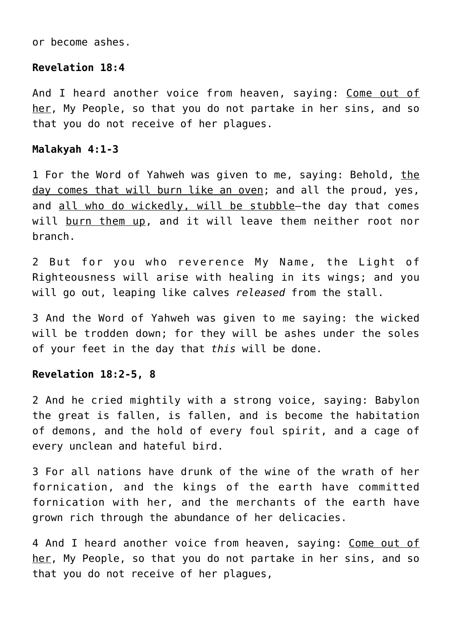or become ashes.

## **Revelation 18:4**

And I heard another voice from heaven, saying: Come out of her, My People, so that you do not partake in her sins, and so that you do not receive of her plagues.

#### **Malakyah 4:1-3**

1 For the Word of Yahweh was given to me, saying: Behold, the day comes that will burn like an oven; and all the proud, yes, and all who do wickedly, will be stubble—the day that comes will burn them up, and it will leave them neither root nor branch.

2 But for you who reverence My Name, the Light of Righteousness will arise with healing in its wings; and you will go out, leaping like calves *released* from the stall.

3 And the Word of Yahweh was given to me saying: the wicked will be trodden down; for they will be ashes under the soles of your feet in the day that *this* will be done.

## **Revelation 18:2-5, 8**

2 And he cried mightily with a strong voice, saying: Babylon the great is fallen, is fallen, and is become the habitation of demons, and the hold of every foul spirit, and a cage of every unclean and hateful bird.

3 For all nations have drunk of the wine of the wrath of her fornication, and the kings of the earth have committed fornication with her, and the merchants of the earth have grown rich through the abundance of her delicacies.

4 And I heard another voice from heaven, saying: Come out of her, My People, so that you do not partake in her sins, and so that you do not receive of her plagues,